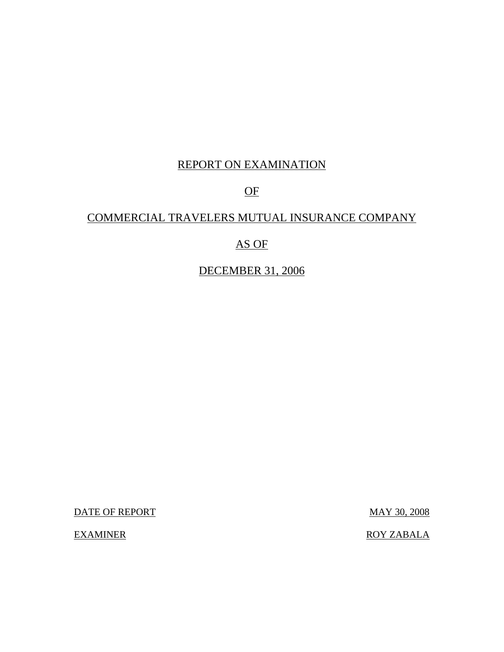# REPORT ON EXAMINATION

# OF

# COMMERCIAL TRAVELERS MUTUAL INSURANCE COMPANY

# AS OF

# DECEMBER 31, 2006

DATE OF REPORT MAY 30, 2008

EXAMINER ROY ZABALA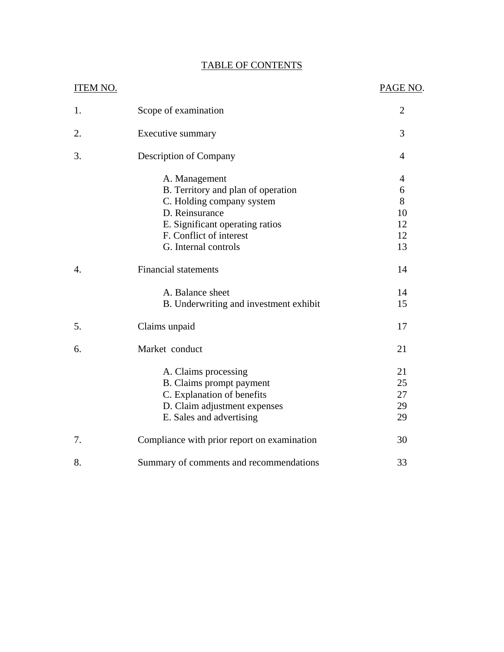| <b>ITEM NO.</b>  |                                                                                                                                                                                          | PAGE NO.                                         |
|------------------|------------------------------------------------------------------------------------------------------------------------------------------------------------------------------------------|--------------------------------------------------|
| 1.               | Scope of examination                                                                                                                                                                     | 2                                                |
| 2.               | Executive summary                                                                                                                                                                        | 3                                                |
| 3.               | Description of Company                                                                                                                                                                   | $\overline{4}$                                   |
|                  | A. Management<br>B. Territory and plan of operation<br>C. Holding company system<br>D. Reinsurance<br>E. Significant operating ratios<br>F. Conflict of interest<br>G. Internal controls | $\overline{4}$<br>6<br>8<br>10<br>12<br>12<br>13 |
| $\overline{4}$ . | <b>Financial statements</b>                                                                                                                                                              | 14                                               |
|                  | A. Balance sheet<br>B. Underwriting and investment exhibit                                                                                                                               | 14<br>15                                         |
| 5.               | Claims unpaid                                                                                                                                                                            | 17                                               |
| 6.               | Market conduct                                                                                                                                                                           | 21                                               |
|                  | A. Claims processing<br>B. Claims prompt payment<br>C. Explanation of benefits<br>D. Claim adjustment expenses<br>E. Sales and advertising                                               | 21<br>25<br>27<br>29<br>29                       |
| 7.               | Compliance with prior report on examination                                                                                                                                              | 30                                               |
| 8.               | Summary of comments and recommendations                                                                                                                                                  | 33                                               |

# TABLE OF CONTENTS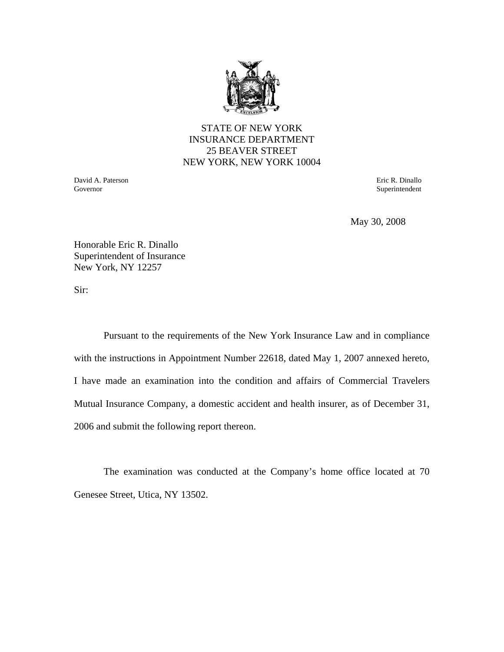

## STATE OF NEW YORK INSURANCE DEPARTMENT 25 BEAVER STREET NEW YORK, NEW YORK 10004

 Governor David A. Paterson  Eric R. Dinallo Superintendent

May 30, 2008

Honorable Eric R. Dinallo Superintendent of Insurance New York, NY 12257

Sir:

Pursuant to the requirements of the New York Insurance Law and in compliance with the instructions in Appointment Number 22618, dated May 1, 2007 annexed hereto, I have made an examination into the condition and affairs of Commercial Travelers Mutual Insurance Company, a domestic accident and health insurer, as of December 31, 2006 and submit the following report thereon.

The examination was conducted at the Company's home office located at 70 Genesee Street, Utica, NY 13502.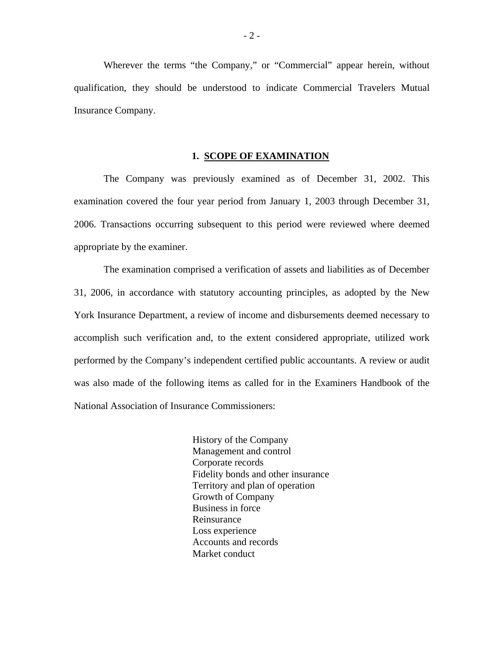Wherever the terms "the Company," or "Commercial" appear herein, without qualification, they should be understood to indicate Commercial Travelers Mutual Insurance Company.

#### **1. SCOPE OF EXAMINATION**

The Company was previously examined as of December 31, 2002. This examination covered the four year period from January 1, 2003 through December 31, 2006. Transactions occurring subsequent to this period were reviewed where deemed appropriate by the examiner.

The examination comprised a verification of assets and liabilities as of December 31, 2006, in accordance with statutory accounting principles, as adopted by the New York Insurance Department, a review of income and disbursements deemed necessary to accomplish such verification and, to the extent considered appropriate, utilized work performed by the Company's independent certified public accountants. A review or audit was also made of the following items as called for in the Examiners Handbook of the National Association of Insurance Commissioners:

> History of the Company Management and control Corporate records Fidelity bonds and other insurance Territory and plan of operation Growth of Company Business in force Reinsurance Loss experience Accounts and records Market conduct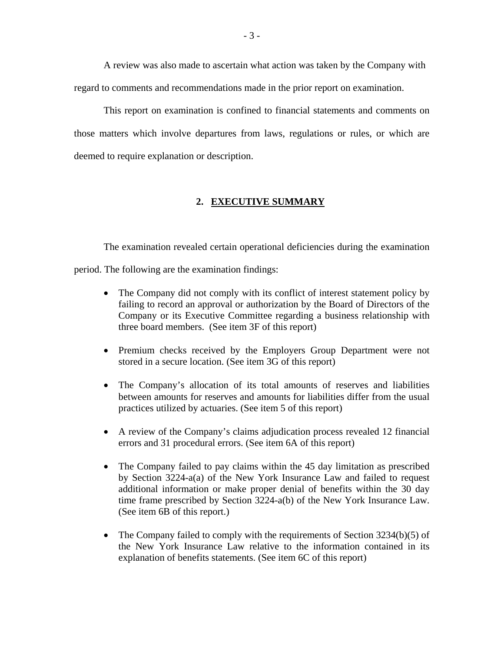A review was also made to ascertain what action was taken by the Company with regard to comments and recommendations made in the prior report on examination.

This report on examination is confined to financial statements and comments on those matters which involve departures from laws, regulations or rules, or which are deemed to require explanation or description.

#### **2. EXECUTIVE SUMMARY**

The examination revealed certain operational deficiencies during the examination period. The following are the examination findings:

- The Company did not comply with its conflict of interest statement policy by failing to record an approval or authorization by the Board of Directors of the Company or its Executive Committee regarding a business relationship with three board members. (See item 3F of this report)
- Premium checks received by the Employers Group Department were not stored in a secure location. (See item 3G of this report)
- The Company's allocation of its total amounts of reserves and liabilities between amounts for reserves and amounts for liabilities differ from the usual practices utilized by actuaries. (See item 5 of this report)
- A review of the Company's claims adjudication process revealed 12 financial errors and 31 procedural errors. (See item 6A of this report)
- The Company failed to pay claims within the 45 day limitation as prescribed by Section 3224-a(a) of the New York Insurance Law and failed to request additional information or make proper denial of benefits within the 30 day time frame prescribed by Section 3224-a(b) of the New York Insurance Law. (See item 6B of this report.)
- The Company failed to comply with the requirements of Section  $3234(b)(5)$  of the New York Insurance Law relative to the information contained in its explanation of benefits statements. (See item 6C of this report)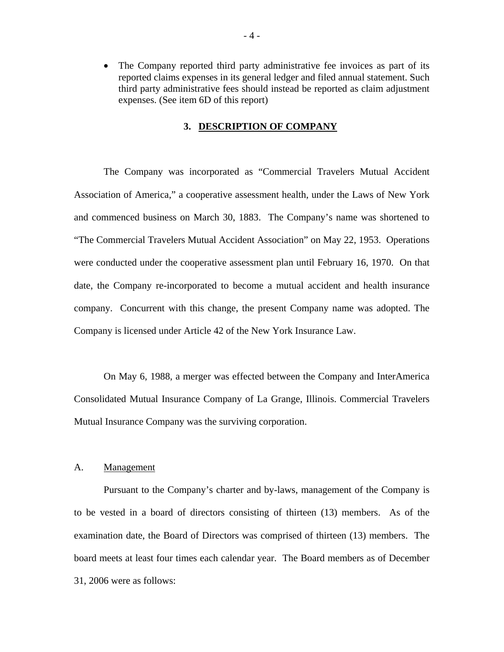• The Company reported third party administrative fee invoices as part of its reported claims expenses in its general ledger and filed annual statement. Such third party administrative fees should instead be reported as claim adjustment expenses. (See item 6D of this report)

#### **3. DESCRIPTION OF COMPANY**

The Company was incorporated as "Commercial Travelers Mutual Accident Association of America," a cooperative assessment health, under the Laws of New York and commenced business on March 30, 1883. The Company's name was shortened to "The Commercial Travelers Mutual Accident Association" on May 22, 1953. Operations were conducted under the cooperative assessment plan until February 16, 1970. On that date, the Company re-incorporated to become a mutual accident and health insurance company. Concurrent with this change, the present Company name was adopted. The Company is licensed under Article 42 of the New York Insurance Law.

On May 6, 1988, a merger was effected between the Company and InterAmerica Consolidated Mutual Insurance Company of La Grange, Illinois. Commercial Travelers Mutual Insurance Company was the surviving corporation.

#### A. Management

Pursuant to the Company's charter and by-laws, management of the Company is to be vested in a board of directors consisting of thirteen (13) members. As of the examination date, the Board of Directors was comprised of thirteen (13) members. The board meets at least four times each calendar year. The Board members as of December 31, 2006 were as follows: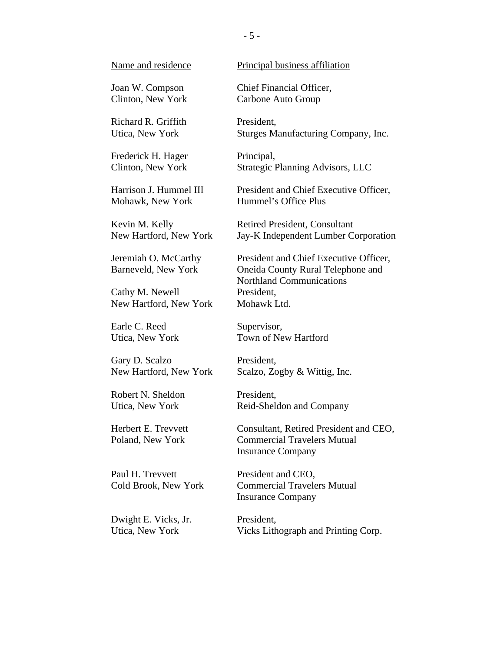Joan W. Compson Clinton, New York

Richard R. Griffith Utica, New York

Frederick H. Hager Clinton, New York

Harrison J. Hummel III Mohawk, New York

Kevin M. Kelly New Hartford, New York

Jeremiah O. McCarthy Barneveld, New York

Cathy M. Newell New Hartford, New York

Earle C. Reed Utica, New York

Gary D. Scalzo New Hartford, New York

Robert N. Sheldon Utica, New York

Herbert E. Trevvett Poland, New York

Paul H. Trevvett Cold Brook, New York

Dwight E. Vicks, Jr. Utica, New York

Name and residence Principal business affiliation

Chief Financial Officer, Carbone Auto Group

President, Sturges Manufacturing Company, Inc.

Principal, Strategic Planning Advisors, LLC

President and Chief Executive Officer, Hummel's Office Plus

Retired President, Consultant Jay-K Independent Lumber Corporation

President and Chief Executive Officer, Oneida County Rural Telephone and Northland Communications President, Mohawk Ltd.

Supervisor, Town of New Hartford

President, Scalzo, Zogby & Wittig, Inc.

President, Reid-Sheldon and Company

Consultant, Retired President and CEO, Commercial Travelers Mutual Insurance Company

President and CEO, Commercial Travelers Mutual Insurance Company

President, Vicks Lithograph and Printing Corp.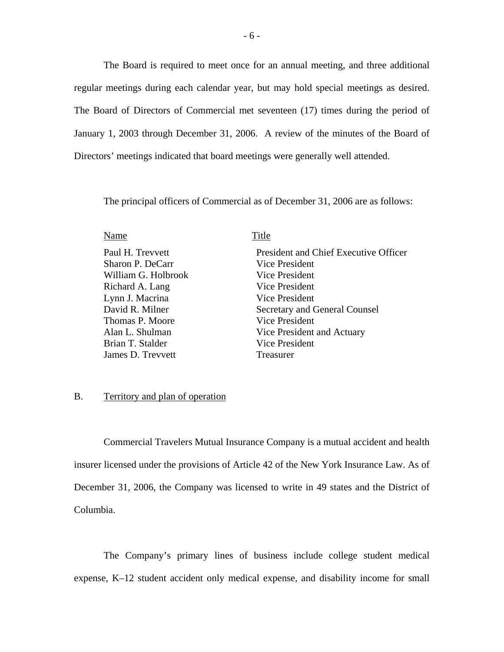The Board is required to meet once for an annual meeting, and three additional regular meetings during each calendar year, but may hold special meetings as desired. The Board of Directors of Commercial met seventeen (17) times during the period of January 1, 2003 through December 31, 2006. A review of the minutes of the Board of Directors' meetings indicated that board meetings were generally well attended.

The principal officers of Commercial as of December 31, 2006 are as follows:

| Name                | Title                                 |
|---------------------|---------------------------------------|
| Paul H. Trevvett    | President and Chief Executive Officer |
| Sharon P. DeCarr    | Vice President                        |
| William G. Holbrook | <b>Vice President</b>                 |
| Richard A. Lang     | Vice President                        |
| Lynn J. Macrina     | <b>Vice President</b>                 |
| David R. Milner     | Secretary and General Counsel         |
| Thomas P. Moore     | Vice President                        |
| Alan L. Shulman     | Vice President and Actuary            |
| Brian T. Stalder    | Vice President                        |
| James D. Trevvett   | Treasurer                             |
|                     |                                       |

#### B. Territory and plan of operation

Commercial Travelers Mutual Insurance Company is a mutual accident and health insurer licensed under the provisions of Article 42 of the New York Insurance Law. As of December 31, 2006, the Company was licensed to write in 49 states and the District of Columbia.

The Company's primary lines of business include college student medical expense, K–12 student accident only medical expense, and disability income for small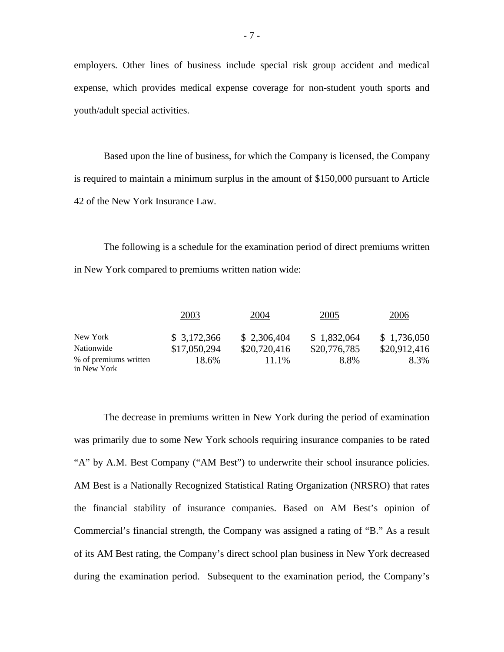employers. Other lines of business include special risk group accident and medical expense, which provides medical expense coverage for non-student youth sports and youth/adult special activities.

Based upon the line of business, for which the Company is licensed, the Company is required to maintain a minimum surplus in the amount of \$150,000 pursuant to Article 42 of the New York Insurance Law.

The following is a schedule for the examination period of direct premiums written in New York compared to premiums written nation wide:

|                                      | 2003         | 2004         | 2005         | 2006         |
|--------------------------------------|--------------|--------------|--------------|--------------|
| New York                             | \$3,172,366  | \$2,306,404  | \$1,832,064  | \$1,736,050  |
| Nationwide                           | \$17,050,294 | \$20,720,416 | \$20,776,785 | \$20,912,416 |
| % of premiums written<br>in New York | 18.6%        | 11.1%        | 8.8%         | 8.3%         |

The decrease in premiums written in New York during the period of examination was primarily due to some New York schools requiring insurance companies to be rated "A" by A.M. Best Company ("AM Best") to underwrite their school insurance policies. AM Best is a Nationally Recognized Statistical Rating Organization (NRSRO) that rates the financial stability of insurance companies. Based on AM Best's opinion of Commercial's financial strength, the Company was assigned a rating of "B." As a result of its AM Best rating, the Company's direct school plan business in New York decreased during the examination period. Subsequent to the examination period, the Company's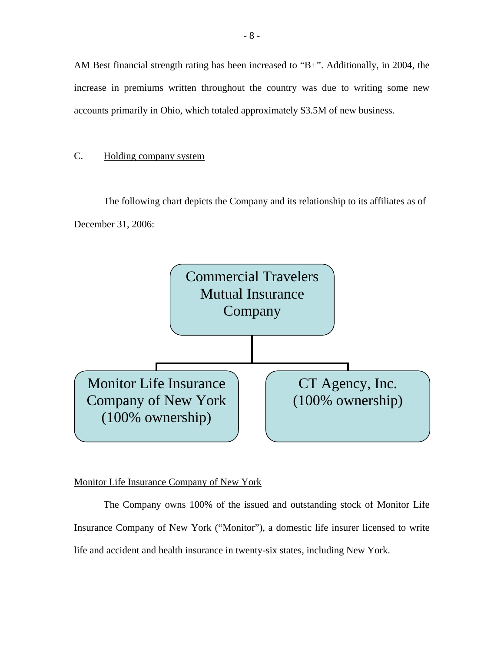AM Best financial strength rating has been increased to "B+". Additionally, in 2004, the increase in premiums written throughout the country was due to writing some new accounts primarily in Ohio, which totaled approximately \$3.5M of new business.

## C. Holding company system

The following chart depicts the Company and its relationship to its affiliates as of December 31, 2006:



## Monitor Life Insurance Company of New York

The Company owns 100% of the issued and outstanding stock of Monitor Life Insurance Company of New York ("Monitor"), a domestic life insurer licensed to write life and accident and health insurance in twenty-six states, including New York.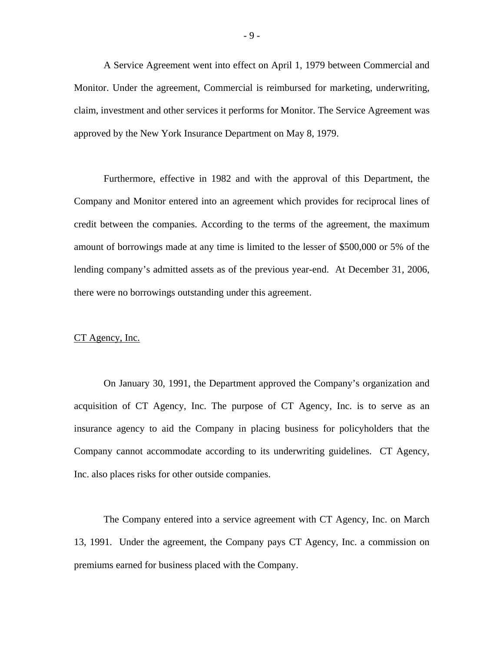A Service Agreement went into effect on April 1, 1979 between Commercial and Monitor. Under the agreement, Commercial is reimbursed for marketing, underwriting, claim, investment and other services it performs for Monitor. The Service Agreement was approved by the New York Insurance Department on May 8, 1979.

Furthermore, effective in 1982 and with the approval of this Department, the Company and Monitor entered into an agreement which provides for reciprocal lines of credit between the companies. According to the terms of the agreement, the maximum amount of borrowings made at any time is limited to the lesser of \$500,000 or 5% of the lending company's admitted assets as of the previous year-end. At December 31, 2006, there were no borrowings outstanding under this agreement.

#### CT Agency, Inc.

On January 30, 1991, the Department approved the Company's organization and acquisition of CT Agency, Inc. The purpose of CT Agency, Inc. is to serve as an insurance agency to aid the Company in placing business for policyholders that the Company cannot accommodate according to its underwriting guidelines. CT Agency, Inc. also places risks for other outside companies.

The Company entered into a service agreement with CT Agency, Inc. on March 13, 1991. Under the agreement, the Company pays CT Agency, Inc. a commission on premiums earned for business placed with the Company.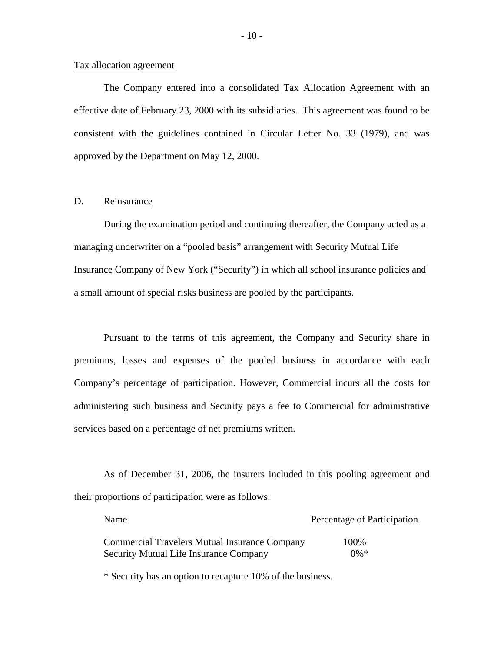#### Tax allocation agreement

The Company entered into a consolidated Tax Allocation Agreement with an effective date of February 23, 2000 with its subsidiaries. This agreement was found to be consistent with the guidelines contained in Circular Letter No. 33 (1979), and was approved by the Department on May 12, 2000.

#### D. Reinsurance

During the examination period and continuing thereafter, the Company acted as a managing underwriter on a "pooled basis" arrangement with Security Mutual Life Insurance Company of New York ("Security") in which all school insurance policies and a small amount of special risks business are pooled by the participants.

Pursuant to the terms of this agreement, the Company and Security share in premiums, losses and expenses of the pooled business in accordance with each Company's percentage of participation. However, Commercial incurs all the costs for administering such business and Security pays a fee to Commercial for administrative services based on a percentage of net premiums written.

As of December 31, 2006, the insurers included in this pooling agreement and their proportions of participation were as follows:

| Name                                                 | Percentage of Participation |
|------------------------------------------------------|-----------------------------|
| <b>Commercial Travelers Mutual Insurance Company</b> | 100%                        |
| <b>Security Mutual Life Insurance Company</b>        | $0\%*$                      |

\* Security has an option to recapture 10% of the business.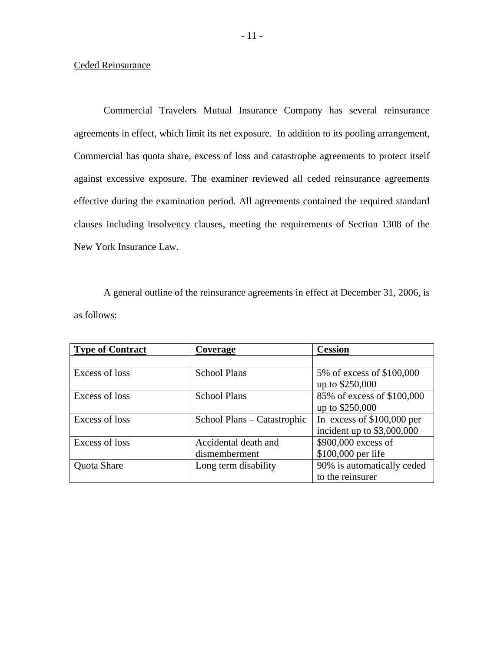#### Ceded Reinsurance

Commercial Travelers Mutual Insurance Company has several reinsurance agreements in effect, which limit its net exposure. In addition to its pooling arrangement, Commercial has quota share, excess of loss and catastrophe agreements to protect itself against excessive exposure. The examiner reviewed all ceded reinsurance agreements effective during the examination period. All agreements contained the required standard clauses including insolvency clauses, meeting the requirements of Section 1308 of the New York Insurance Law.

A general outline of the reinsurance agreements in effect at December 31, 2006, is as follows:

| <b>Type of Contract</b> | Coverage                    | <b>Cession</b>              |
|-------------------------|-----------------------------|-----------------------------|
|                         |                             |                             |
| Excess of loss          | <b>School Plans</b>         | 5% of excess of \$100,000   |
|                         |                             | up to \$250,000             |
| Excess of loss          | <b>School Plans</b>         | 85% of excess of \$100,000  |
|                         |                             | up to \$250,000             |
| Excess of loss          | School Plans – Catastrophic | In excess of $$100,000$ per |
|                         |                             | incident up to $$3,000,000$ |
| Excess of loss          | Accidental death and        | \$900,000 excess of         |
|                         | dismemberment               | \$100,000 per life          |
| Quota Share             | Long term disability        | 90% is automatically ceded  |
|                         |                             | to the reinsurer            |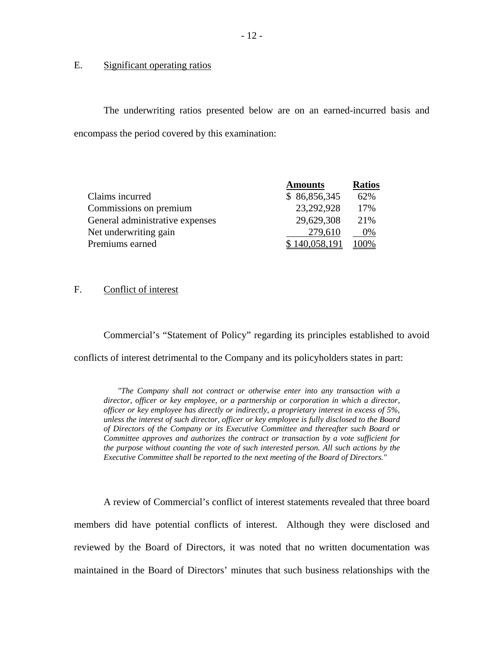### Significant operating ratios

E. Significant operating ratios<br>The underwriting ratios presented below are on an earned-incurred basis and encompass the period covered by this examination:

|                                 | <b>Amounts</b> | <b>Ratios</b> |
|---------------------------------|----------------|---------------|
| Claims incurred                 | \$86,856,345   | 62%           |
| Commissions on premium          | 23,292,928     | 17%           |
| General administrative expenses | 29,629,308     | 21%           |
| Net underwriting gain           | 279,610        | 0%            |
| Premiums earned                 | \$140,058,191  | 100%          |

### F. Conflict of interest

Commercial's "Statement of Policy" regarding its principles established to avoid conflicts of interest detrimental to the Company and its policyholders states in part:

 *Committee approves and authorizes the contract or transaction by a vote sufficient for the purpose without counting the vote of such interested person. All such actions by the "The Company shall not contract or otherwise enter into any transaction with a director, officer or key employee, or a partnership or corporation in which a director, officer or key employee has directly or indirectly, a proprietary interest in excess of 5%, unless the interest of such director, officer or key employee is fully disclosed to the Board of Directors of the Company or its Executive Committee and thereafter such Board or Executive Committee shall be reported to the next meeting of the Board of Directors."* 

A review of Commercial's conflict of interest statements revealed that three board members did have potential conflicts of interest. Although they were disclosed and reviewed by the Board of Directors, it was noted that no written documentation was maintained in the Board of Directors' minutes that such business relationships with the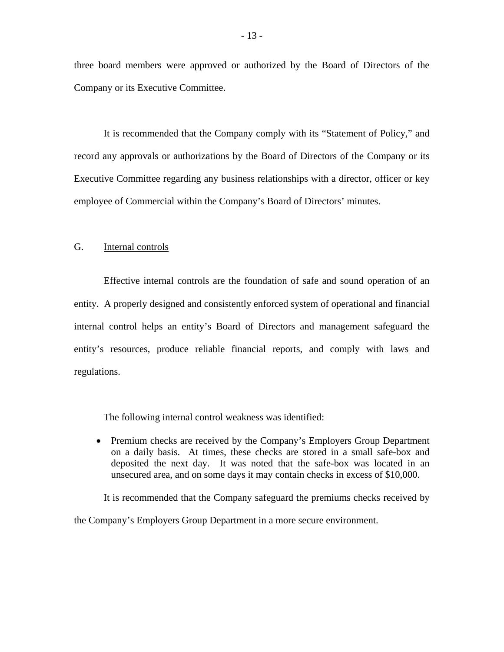three board members were approved or authorized by the Board of Directors of the Company or its Executive Committee.

It is recommended that the Company comply with its "Statement of Policy," and record any approvals or authorizations by the Board of Directors of the Company or its Executive Committee regarding any business relationships with a director, officer or key employee of Commercial within the Company's Board of Directors' minutes.

#### G. Internal controls

Effective internal controls are the foundation of safe and sound operation of an entity. A properly designed and consistently enforced system of operational and financial internal control helps an entity's Board of Directors and management safeguard the entity's resources, produce reliable financial reports, and comply with laws and regulations.

The following internal control weakness was identified:

• Premium checks are received by the Company's Employers Group Department on a daily basis. At times, these checks are stored in a small safe-box and deposited the next day. It was noted that the safe-box was located in an unsecured area, and on some days it may contain checks in excess of \$10,000.

It is recommended that the Company safeguard the premiums checks received by

the Company's Employers Group Department in a more secure environment.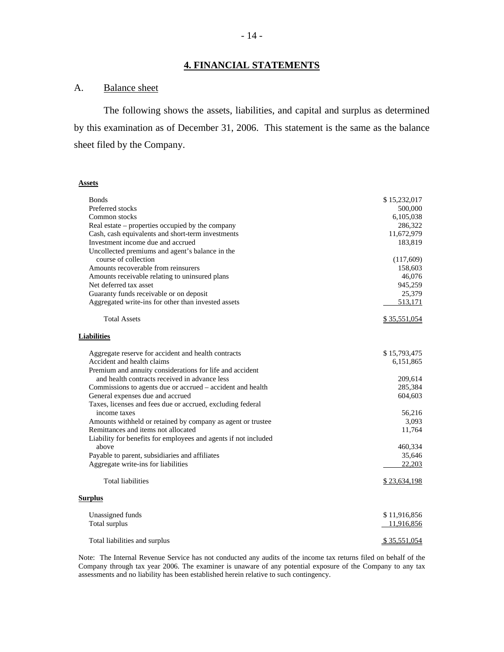## **4. FINANCIAL STATEMENTS**

## **Balance** sheet

A. Balance sheet<br>The following shows the assets, liabilities, and capital and surplus as determined by this examination as of December 31, 2006. This statement is the same as the balance sheet filed by the Company.

#### **Assets**

| <b>Bonds</b>                                                    | \$15,232,017 |
|-----------------------------------------------------------------|--------------|
| Preferred stocks                                                | 500,000      |
| Common stocks                                                   | 6,105,038    |
| Real estate – properties occupied by the company                | 286,322      |
| Cash, cash equivalents and short-term investments               | 11,672,979   |
| Investment income due and accrued                               | 183,819      |
| Uncollected premiums and agent's balance in the                 |              |
| course of collection                                            | (117,609)    |
| Amounts recoverable from reinsurers                             | 158,603      |
| Amounts receivable relating to uninsured plans                  | 46,076       |
| Net deferred tax asset                                          | 945,259      |
| Guaranty funds receivable or on deposit                         | 25,379       |
| Aggregated write-ins for other than invested assets             | 513,171      |
| <b>Total Assets</b>                                             | \$35,551,054 |
| <b>Liabilities</b>                                              |              |
| Aggregate reserve for accident and health contracts             | \$15,793,475 |
| Accident and health claims                                      | 6,151,865    |
| Premium and annuity considerations for life and accident        |              |
| and health contracts received in advance less                   | 209,614      |
| Commissions to agents due or accrued – accident and health      | 285,384      |
| General expenses due and accrued                                | 604,603      |
| Taxes, licenses and fees due or accrued, excluding federal      |              |
| income taxes                                                    | 56,216       |
| Amounts withheld or retained by company as agent or trustee     | 3,093        |
| Remittances and items not allocated                             | 11,764       |
| Liability for benefits for employees and agents if not included |              |
| above                                                           | 460,334      |
| Payable to parent, subsidiaries and affiliates                  | 35,646       |
| Aggregate write-ins for liabilities                             | 22,203       |
| <b>Total liabilities</b>                                        | \$23,634,198 |
| <b>Surplus</b>                                                  |              |
| Unassigned funds                                                | \$11,916,856 |
| Total surplus                                                   | 11,916,856   |
| Total liabilities and surplus                                   | \$35,551,054 |

Note: The Internal Revenue Service has not conducted any audits of the income tax returns filed on behalf of the Company through tax year 2006. The examiner is unaware of any potential exposure of the Company to any tax assessments and no liability has been established herein relative to such contingency.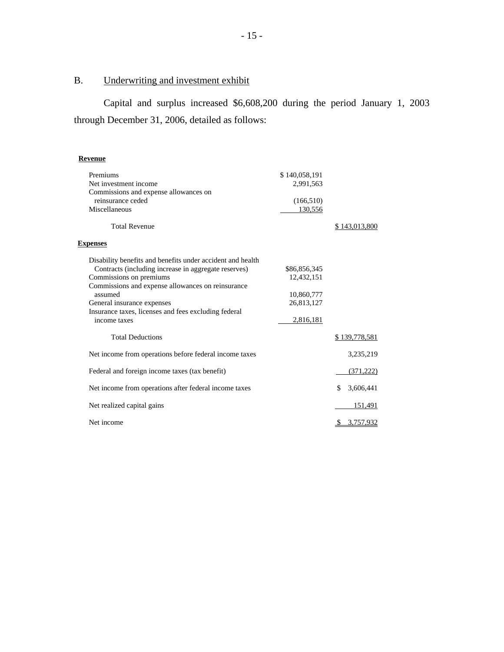# Underwriting and investment exhibit

B. Underwriting and investment exhibit<br>Capital and surplus increased \$6,608,200 during the period January 1, 2003 through December 31, 2006, detailed as follows:

## **Revenue**

| Premiums<br>Net investment income<br>Commissions and expense allowances on<br>reinsurance ceded | \$140,058,191<br>2,991,563 |                 |
|-------------------------------------------------------------------------------------------------|----------------------------|-----------------|
| Miscellaneous                                                                                   | (166, 510)<br>130,556      |                 |
|                                                                                                 |                            |                 |
| <b>Total Revenue</b>                                                                            |                            | \$143,013,800   |
| <b>Expenses</b>                                                                                 |                            |                 |
| Disability benefits and benefits under accident and health                                      |                            |                 |
| Contracts (including increase in aggregate reserves)                                            | \$86,856,345               |                 |
| Commissions on premiums                                                                         | 12,432,151                 |                 |
| Commissions and expense allowances on reinsurance                                               |                            |                 |
| assumed                                                                                         | 10,860,777                 |                 |
| General insurance expenses                                                                      | 26,813,127                 |                 |
| Insurance taxes, licenses and fees excluding federal                                            |                            |                 |
| income taxes                                                                                    | 2,816,181                  |                 |
| <b>Total Deductions</b>                                                                         |                            | \$139,778,581   |
| Net income from operations before federal income taxes                                          |                            | 3,235,219       |
| Federal and foreign income taxes (tax benefit)                                                  |                            | (371, 222)      |
| Net income from operations after federal income taxes                                           |                            | \$<br>3,606,441 |
| Net realized capital gains                                                                      |                            | 151,491         |
| Net income                                                                                      |                            | 3,757,932<br>S. |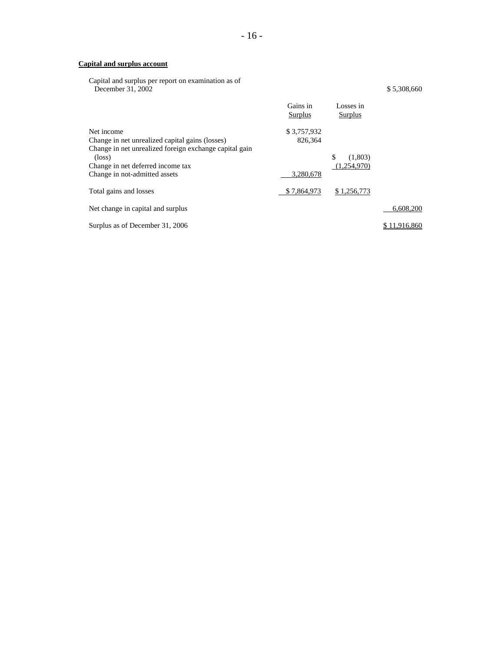#### **Capital and surplus account**

Capital and surplus per report on examination as of December 31, 2002 \$ 5,308,660

|                                                                                                                | Gains in<br>Surplus      | Losses in<br>Surplus         |              |
|----------------------------------------------------------------------------------------------------------------|--------------------------|------------------------------|--------------|
| Net income<br>Change in net unrealized capital gains (losses)                                                  | \$3,757,932<br>826.364   |                              |              |
| Change in net unrealized foreign exchange capital gain<br>$(\text{loss})$<br>Change in net deferred income tax |                          | \$<br>(1,803)<br>(1.254.970) |              |
| Change in not-admitted assets<br>Total gains and losses                                                        | 3,280,678<br>\$7,864,973 | \$1,256,773                  |              |
| Net change in capital and surplus                                                                              |                          |                              | 6,608,200    |
| Surplus as of December 31, 2006                                                                                |                          |                              | \$11,916,860 |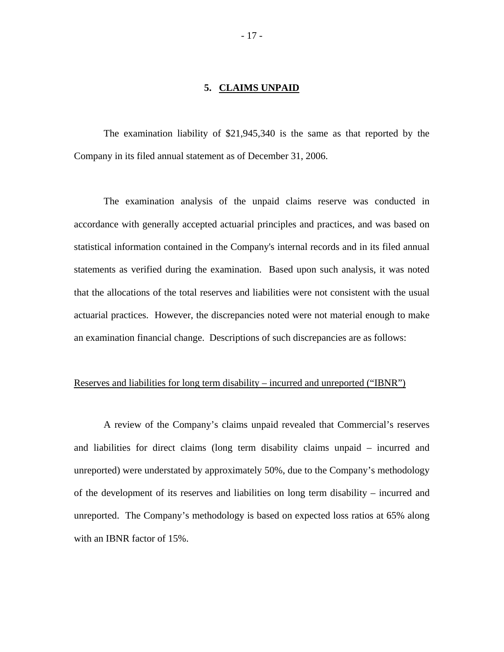#### **5. CLAIMS UNPAID**

The examination liability of \$21,945,340 is the same as that reported by the Company in its filed annual statement as of December 31, 2006.

The examination analysis of the unpaid claims reserve was conducted in accordance with generally accepted actuarial principles and practices, and was based on statistical information contained in the Company's internal records and in its filed annual statements as verified during the examination. Based upon such analysis, it was noted that the allocations of the total reserves and liabilities were not consistent with the usual actuarial practices. However, the discrepancies noted were not material enough to make an examination financial change. Descriptions of such discrepancies are as follows:

#### Reserves and liabilities for long term disability – incurred and unreported ("IBNR")

A review of the Company's claims unpaid revealed that Commercial's reserves and liabilities for direct claims (long term disability claims unpaid – incurred and unreported) were understated by approximately 50%, due to the Company's methodology of the development of its reserves and liabilities on long term disability – incurred and unreported. The Company's methodology is based on expected loss ratios at 65% along with an IBNR factor of 15%.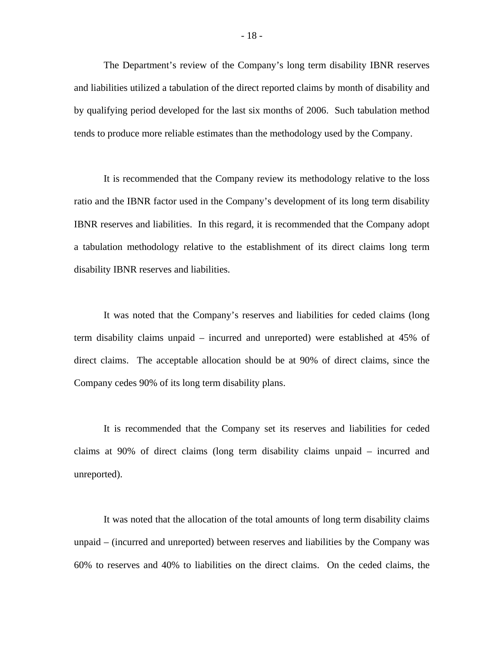The Department's review of the Company's long term disability IBNR reserves and liabilities utilized a tabulation of the direct reported claims by month of disability and by qualifying period developed for the last six months of 2006. Such tabulation method tends to produce more reliable estimates than the methodology used by the Company.

It is recommended that the Company review its methodology relative to the loss ratio and the IBNR factor used in the Company's development of its long term disability IBNR reserves and liabilities. In this regard, it is recommended that the Company adopt a tabulation methodology relative to the establishment of its direct claims long term disability IBNR reserves and liabilities.

It was noted that the Company's reserves and liabilities for ceded claims (long term disability claims unpaid – incurred and unreported) were established at 45% of direct claims. The acceptable allocation should be at 90% of direct claims, since the Company cedes 90% of its long term disability plans.

It is recommended that the Company set its reserves and liabilities for ceded claims at 90% of direct claims (long term disability claims unpaid – incurred and unreported).

It was noted that the allocation of the total amounts of long term disability claims unpaid – (incurred and unreported) between reserves and liabilities by the Company was 60% to reserves and 40% to liabilities on the direct claims. On the ceded claims, the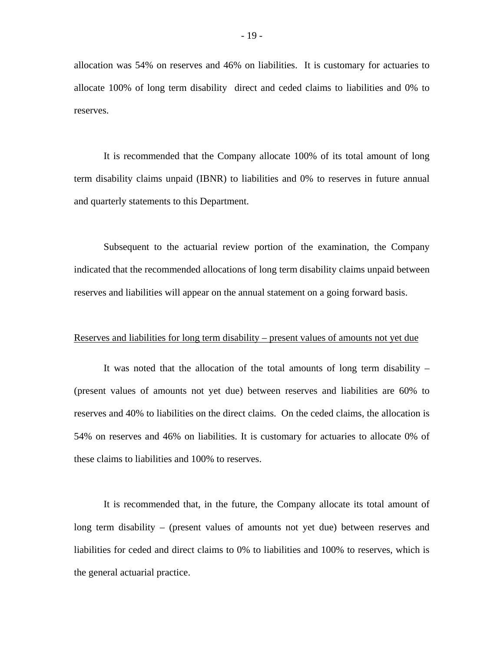allocation was 54% on reserves and 46% on liabilities. It is customary for actuaries to allocate 100% of long term disability direct and ceded claims to liabilities and 0% to reserves.

It is recommended that the Company allocate 100% of its total amount of long term disability claims unpaid (IBNR) to liabilities and 0% to reserves in future annual and quarterly statements to this Department.

Subsequent to the actuarial review portion of the examination, the Company indicated that the recommended allocations of long term disability claims unpaid between reserves and liabilities will appear on the annual statement on a going forward basis.

#### Reserves and liabilities for long term disability – present values of amounts not yet due

It was noted that the allocation of the total amounts of long term disability – (present values of amounts not yet due) between reserves and liabilities are 60% to reserves and 40% to liabilities on the direct claims. On the ceded claims, the allocation is 54% on reserves and 46% on liabilities. It is customary for actuaries to allocate 0% of these claims to liabilities and 100% to reserves.

It is recommended that, in the future, the Company allocate its total amount of long term disability – (present values of amounts not yet due) between reserves and liabilities for ceded and direct claims to 0% to liabilities and 100% to reserves, which is the general actuarial practice.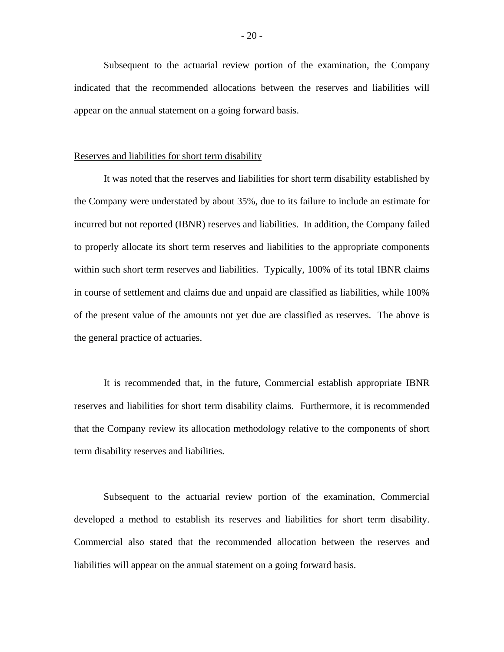Subsequent to the actuarial review portion of the examination, the Company indicated that the recommended allocations between the reserves and liabilities will appear on the annual statement on a going forward basis.

#### Reserves and liabilities for short term disability

It was noted that the reserves and liabilities for short term disability established by the Company were understated by about 35%, due to its failure to include an estimate for incurred but not reported (IBNR) reserves and liabilities. In addition, the Company failed to properly allocate its short term reserves and liabilities to the appropriate components within such short term reserves and liabilities. Typically, 100% of its total IBNR claims in course of settlement and claims due and unpaid are classified as liabilities, while 100% of the present value of the amounts not yet due are classified as reserves. The above is the general practice of actuaries.

It is recommended that, in the future, Commercial establish appropriate IBNR reserves and liabilities for short term disability claims. Furthermore, it is recommended that the Company review its allocation methodology relative to the components of short term disability reserves and liabilities.

Subsequent to the actuarial review portion of the examination, Commercial developed a method to establish its reserves and liabilities for short term disability. Commercial also stated that the recommended allocation between the reserves and liabilities will appear on the annual statement on a going forward basis.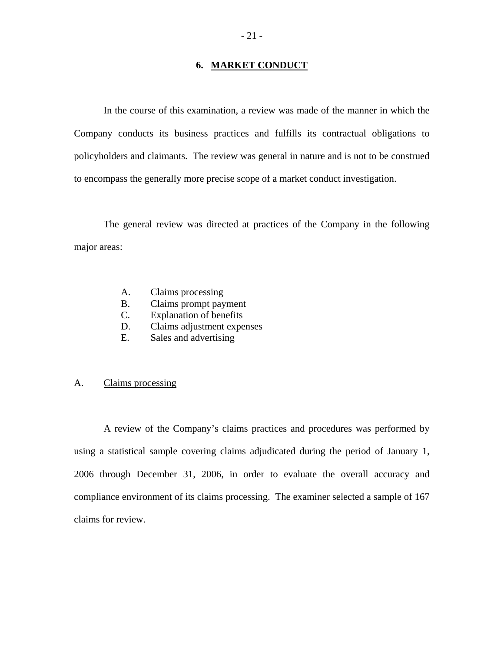## **6. MARKET CONDUCT**

In the course of this examination, a review was made of the manner in which the Company conducts its business practices and fulfills its contractual obligations to policyholders and claimants. The review was general in nature and is not to be construed to encompass the generally more precise scope of a market conduct investigation.

The general review was directed at practices of the Company in the following major areas:

- A. Claims processing
- B. Claims prompt payment
- C. Explanation of benefits
- D. Claims adjustment expenses
- E. Sales and advertising

### A. Claims processing

A review of the Company's claims practices and procedures was performed by using a statistical sample covering claims adjudicated during the period of January 1, 2006 through December 31, 2006, in order to evaluate the overall accuracy and compliance environment of its claims processing. The examiner selected a sample of 167 claims for review.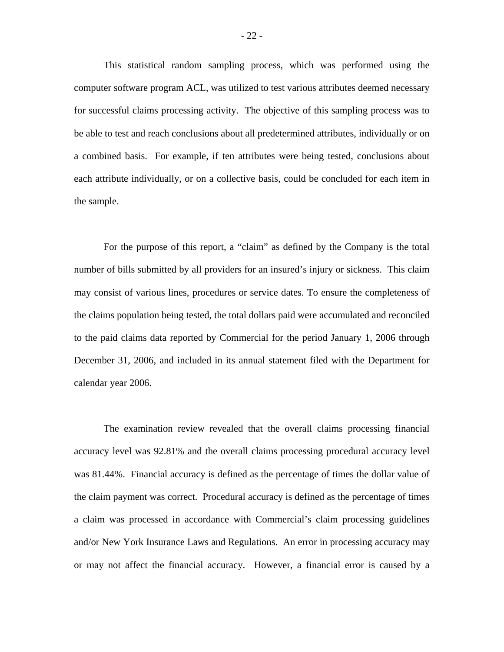This statistical random sampling process, which was performed using the computer software program ACL, was utilized to test various attributes deemed necessary for successful claims processing activity. The objective of this sampling process was to be able to test and reach conclusions about all predetermined attributes, individually or on a combined basis. For example, if ten attributes were being tested, conclusions about each attribute individually, or on a collective basis, could be concluded for each item in the sample.

For the purpose of this report, a "claim" as defined by the Company is the total number of bills submitted by all providers for an insured's injury or sickness. This claim may consist of various lines, procedures or service dates. To ensure the completeness of the claims population being tested, the total dollars paid were accumulated and reconciled to the paid claims data reported by Commercial for the period January 1, 2006 through December 31, 2006, and included in its annual statement filed with the Department for calendar year 2006.

The examination review revealed that the overall claims processing financial accuracy level was 92.81% and the overall claims processing procedural accuracy level was 81.44%. Financial accuracy is defined as the percentage of times the dollar value of the claim payment was correct. Procedural accuracy is defined as the percentage of times a claim was processed in accordance with Commercial's claim processing guidelines and/or New York Insurance Laws and Regulations. An error in processing accuracy may or may not affect the financial accuracy. However, a financial error is caused by a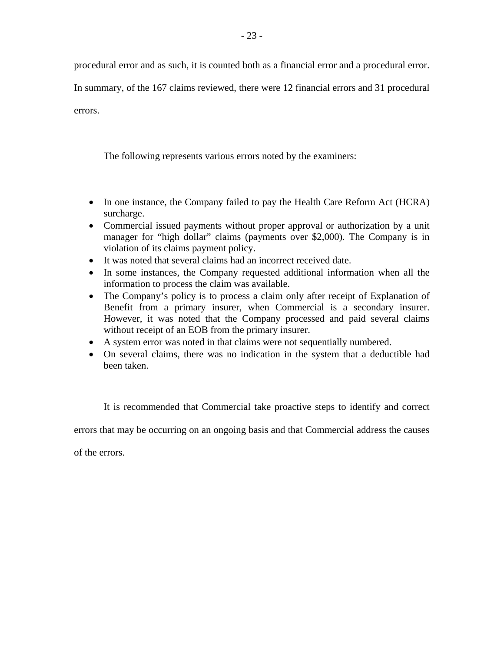procedural error and as such, it is counted both as a financial error and a procedural error.

In summary, of the 167 claims reviewed, there were 12 financial errors and 31 procedural

errors.

The following represents various errors noted by the examiners:

- In one instance, the Company failed to pay the Health Care Reform Act (HCRA) surcharge.
- Commercial issued payments without proper approval or authorization by a unit manager for "high dollar" claims (payments over \$2,000). The Company is in violation of its claims payment policy.
- It was noted that several claims had an incorrect received date.
- In some instances, the Company requested additional information when all the information to process the claim was available.
- The Company's policy is to process a claim only after receipt of Explanation of Benefit from a primary insurer, when Commercial is a secondary insurer. However, it was noted that the Company processed and paid several claims without receipt of an EOB from the primary insurer.
- A system error was noted in that claims were not sequentially numbered.
- On several claims, there was no indication in the system that a deductible had been taken.

It is recommended that Commercial take proactive steps to identify and correct

errors that may be occurring on an ongoing basis and that Commercial address the causes

of the errors.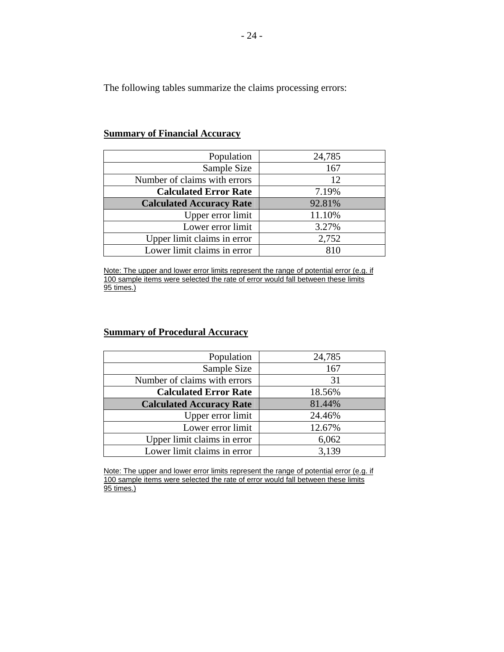The following tables summarize the claims processing errors:

| Population                      | 24,785 |
|---------------------------------|--------|
| Sample Size                     | 167    |
| Number of claims with errors    | 12     |
| <b>Calculated Error Rate</b>    | 7.19%  |
| <b>Calculated Accuracy Rate</b> | 92.81% |
| Upper error limit               | 11.10% |
| Lower error limit               | 3.27%  |
| Upper limit claims in error     | 2,752  |
| Lower limit claims in error     |        |

## **Summary of Financial Accuracy**

Note: The upper and lower error limits represent the range of potential error (e.g. if 100 sample items were selected the rate of error would fall between these limits 95 times.)

# **Summary of Procedural Accuracy**

| Population                      | 24,785 |
|---------------------------------|--------|
| Sample Size                     | 167    |
| Number of claims with errors    | 31     |
| <b>Calculated Error Rate</b>    | 18.56% |
| <b>Calculated Accuracy Rate</b> | 81.44% |
| Upper error limit               | 24.46% |
| Lower error limit               | 12.67% |
| Upper limit claims in error     | 6,062  |
| Lower limit claims in error     | 3,139  |

Note: The upper and lower error limits represent the range of potential error (e.g. if 100 sample items were selected the rate of error would fall between these limits 95 times.)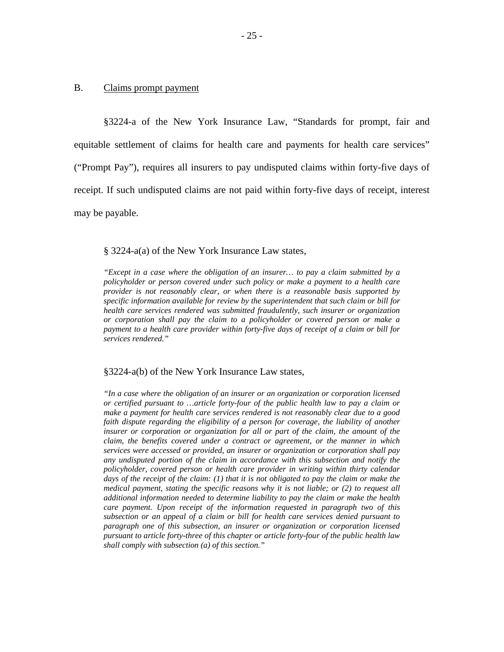#### B. Claims prompt payment

§3224-a of the New York Insurance Law, "Standards for prompt, fair and equitable settlement of claims for health care and payments for health care services" ("Prompt Pay"), requires all insurers to pay undisputed claims within forty-five days of receipt. If such undisputed claims are not paid within forty-five days of receipt, interest may be payable.

#### § 3224-a(a) of the New York Insurance Law states,

 *specific information available for review by the superintendent that such claim or bill for "Except in a case where the obligation of an insurer… to pay a claim submitted by a policyholder or person covered under such policy or make a payment to a health care provider is not reasonably clear, or when there is a reasonable basis supported by health care services rendered was submitted fraudulently, such insurer or organization or corporation shall pay the claim to a policyholder or covered person or make a payment to a health care provider within forty-five days of receipt of a claim or bill for services rendered."* 

#### §3224-a(b) of the New York Insurance Law states,

 *additional information needed to determine liability to pay the claim or make the health subsection or an appeal of a claim or bill for health care services denied pursuant to "In a case where the obligation of an insurer or an organization or corporation licensed or certified pursuant to …article forty-four of the public health law to pay a claim or make a payment for health care services rendered is not reasonably clear due to a good faith dispute regarding the eligibility of a person for coverage, the liability of another insurer or corporation or organization for all or part of the claim, the amount of the claim, the benefits covered under a contract or agreement, or the manner in which services were accessed or provided, an insurer or organization or corporation shall pay any undisputed portion of the claim in accordance with this subsection and notify the policyholder, covered person or health care provider in writing within thirty calendar days of the receipt of the claim: (1) that it is not obligated to pay the claim or make the medical payment, stating the specific reasons why it is not liable; or (2) to request all care payment. Upon receipt of the information requested in paragraph two of this paragraph one of this subsection, an insurer or organization or corporation licensed pursuant to article forty-three of this chapter or article forty-four of the public health law shall comply with subsection (a) of this section."*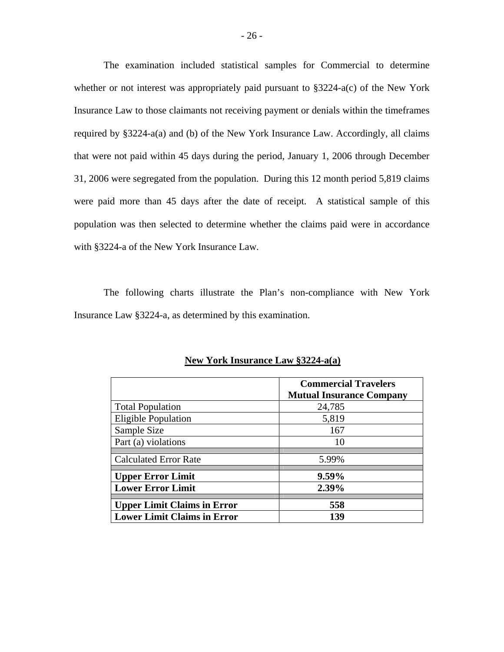The examination included statistical samples for Commercial to determine whether or not interest was appropriately paid pursuant to §3224-a(c) of the New York Insurance Law to those claimants not receiving payment or denials within the timeframes required by §3224-a(a) and (b) of the New York Insurance Law. Accordingly, all claims that were not paid within 45 days during the period, January 1, 2006 through December 31, 2006 were segregated from the population. During this 12 month period 5,819 claims were paid more than 45 days after the date of receipt. A statistical sample of this population was then selected to determine whether the claims paid were in accordance with §3224-a of the New York Insurance Law.

The following charts illustrate the Plan's non-compliance with New York Insurance Law §3224-a, as determined by this examination.

|                                    | <b>Commercial Travelers</b><br><b>Mutual Insurance Company</b> |
|------------------------------------|----------------------------------------------------------------|
| <b>Total Population</b>            | 24,785                                                         |
| <b>Eligible Population</b>         | 5,819                                                          |
| Sample Size                        | 167                                                            |
| Part (a) violations                | 10                                                             |
| <b>Calculated Error Rate</b>       | 5.99%                                                          |
| <b>Upper Error Limit</b>           | $9.59\%$                                                       |
| <b>Lower Error Limit</b>           | 2.39%                                                          |
| <b>Upper Limit Claims in Error</b> | 558                                                            |
| <b>Lower Limit Claims in Error</b> | 139                                                            |

**New York Insurance Law §3224-a(a)**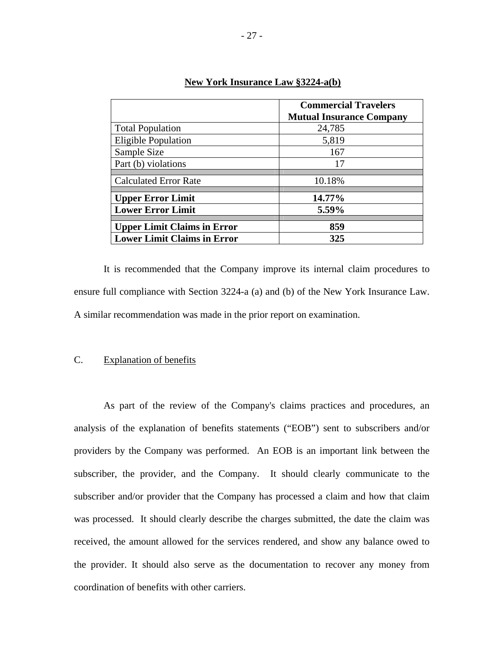|                                    | <b>Commercial Travelers</b><br><b>Mutual Insurance Company</b> |
|------------------------------------|----------------------------------------------------------------|
| <b>Total Population</b>            | 24,785                                                         |
| Eligible Population                | 5,819                                                          |
| Sample Size                        | 167                                                            |
| Part (b) violations                | 17                                                             |
| <b>Calculated Error Rate</b>       | 10.18%                                                         |
| <b>Upper Error Limit</b>           | 14.77%                                                         |
| <b>Lower Error Limit</b>           | 5.59%                                                          |
| <b>Upper Limit Claims in Error</b> | 859                                                            |
| <b>Lower Limit Claims in Error</b> | 325                                                            |

## **New York Insurance Law §3224-a(b)**

It is recommended that the Company improve its internal claim procedures to ensure full compliance with Section 3224-a (a) and (b) of the New York Insurance Law. A similar recommendation was made in the prior report on examination.

#### **Explanation of benefits**

C. Explanation of benefits<br>As part of the review of the Company's claims practices and procedures, an analysis of the explanation of benefits statements ("EOB") sent to subscribers and/or providers by the Company was performed. An EOB is an important link between the subscriber, the provider, and the Company. It should clearly communicate to the subscriber and/or provider that the Company has processed a claim and how that claim was processed. It should clearly describe the charges submitted, the date the claim was received, the amount allowed for the services rendered, and show any balance owed to the provider. It should also serve as the documentation to recover any money from coordination of benefits with other carriers.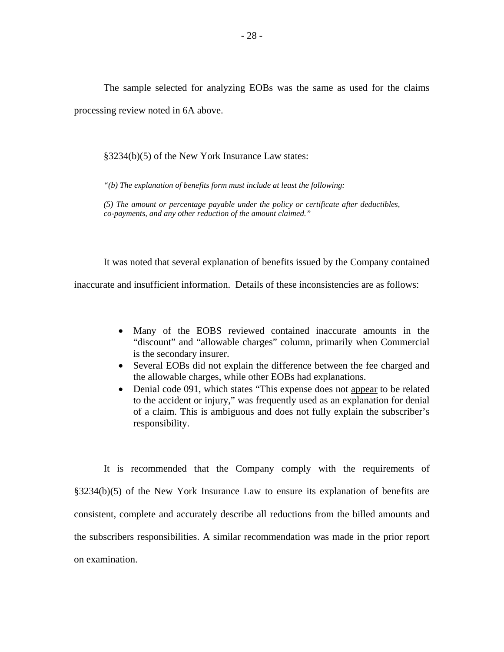The sample selected for analyzing EOBs was the same as used for the claims processing review noted in 6A above.

§3234(b)(5) of the New York Insurance Law states:

 *"(b) The explanation of benefits form must include at least the following:* 

 *co-payments, and any other reduction of the amount claimed." (5) The amount or percentage payable under the policy or certificate after deductibles,* 

It was noted that several explanation of benefits issued by the Company contained inaccurate and insufficient information. Details of these inconsistencies are as follows:

- is the secondary insurer. • Many of the EOBS reviewed contained inaccurate amounts in the "discount" and "allowable charges" column, primarily when Commercial
- Several EOBs did not explain the difference between the fee charged and the allowable charges, while other EOBs had explanations.
- Denial code 091, which states "This expense does not appear to be related to the accident or injury," was frequently used as an explanation for denial of a claim. This is ambiguous and does not fully explain the subscriber's responsibility.

It is recommended that the Company comply with the requirements of §3234(b)(5) of the New York Insurance Law to ensure its explanation of benefits are consistent, complete and accurately describe all reductions from the billed amounts and the subscribers responsibilities. A similar recommendation was made in the prior report on examination.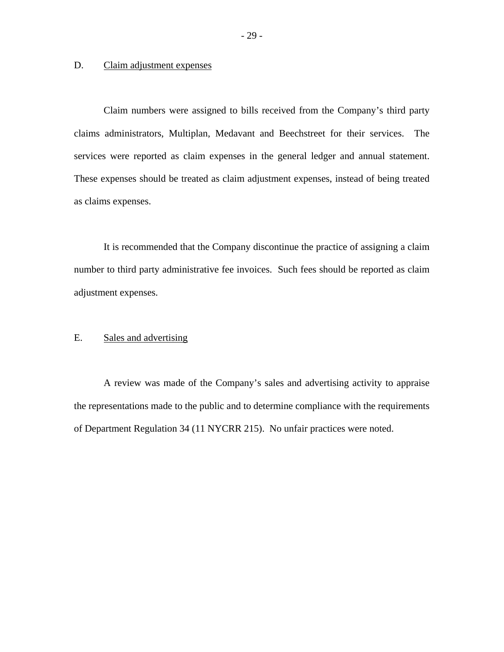## D. Claim adjustment expenses

Claim numbers were assigned to bills received from the Company's third party claims administrators, Multiplan, Medavant and Beechstreet for their services. The services were reported as claim expenses in the general ledger and annual statement. These expenses should be treated as claim adjustment expenses, instead of being treated as claims expenses.

It is recommended that the Company discontinue the practice of assigning a claim number to third party administrative fee invoices. Such fees should be reported as claim adjustment expenses.

## E. Sales and advertising

A review was made of the Company's sales and advertising activity to appraise the representations made to the public and to determine compliance with the requirements of Department Regulation 34 (11 NYCRR 215). No unfair practices were noted.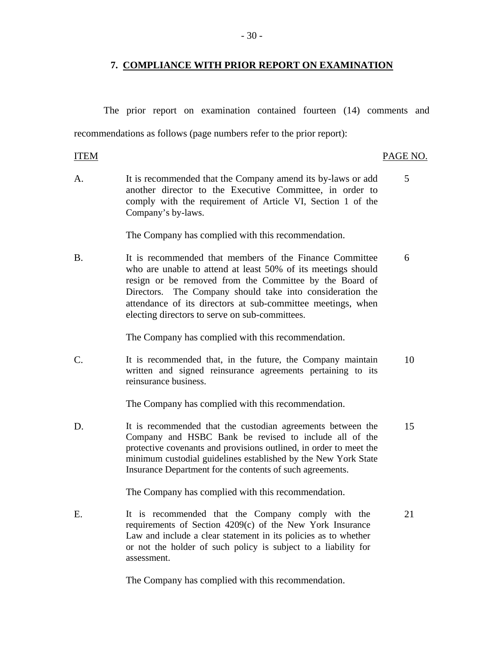## **7. COMPLIANCE WITH PRIOR REPORT ON EXAMINATION**

The prior report on examination contained fourteen (14) comments and recommendations as follows (page numbers refer to the prior report):

**ITEM** PAGE NO. A. It is recommended that the Company amend its by-laws or add 5 another director to the Executive Committee, in order to comply with the requirement of Article VI, Section 1 of the Company's by-laws. The Company has complied with this recommendation. B. It is recommended that members of the Finance Committee 6

who are unable to attend at least 50% of its meetings should resign or be removed from the Committee by the Board of Directors. The Company should take into consideration the attendance of its directors at sub-committee meetings, when electing directors to serve on sub-committees.

The Company has complied with this recommendation.

C. It is recommended that, in the future, the Company maintain 10 written and signed reinsurance agreements pertaining to its reinsurance business.

The Company has complied with this recommendation.

D. It is recommended that the custodian agreements between the 15 Company and HSBC Bank be revised to include all of the protective covenants and provisions outlined, in order to meet the minimum custodial guidelines established by the New York State Insurance Department for the contents of such agreements.

The Company has complied with this recommendation.

E. It is recommended that the Company comply with the 21 requirements of Section 4209(c) of the New York Insurance Law and include a clear statement in its policies as to whether or not the holder of such policy is subject to a liability for assessment.

The Company has complied with this recommendation.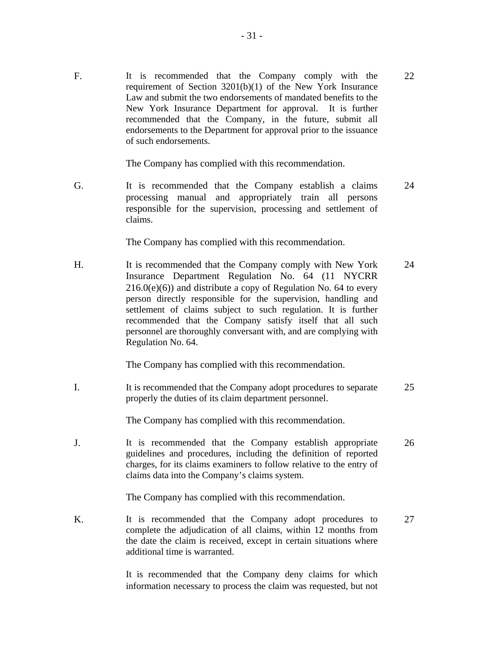F. It is recommended that the Company comply with the 22 requirement of Section 3201(b)(1) of the New York Insurance Law and submit the two endorsements of mandated benefits to the New York Insurance Department for approval. It is further recommended that the Company, in the future, submit all endorsements to the Department for approval prior to the issuance of such endorsements.

The Company has complied with this recommendation.

G. It is recommended that the Company establish a claims 24 processing manual and appropriately train all persons responsible for the supervision, processing and settlement of claims.

The Company has complied with this recommendation.

H. It is recommended that the Company comply with New York 24 Insurance Department Regulation No. 64 (11 NYCRR  $216.0(e)(6)$ ) and distribute a copy of Regulation No. 64 to every person directly responsible for the supervision, handling and settlement of claims subject to such regulation. It is further recommended that the Company satisfy itself that all such personnel are thoroughly conversant with, and are complying with Regulation No. 64.

The Company has complied with this recommendation.

I. It is recommended that the Company adopt procedures to separate 25 properly the duties of its claim department personnel.

The Company has complied with this recommendation.

J. It is recommended that the Company establish appropriate 26 guidelines and procedures, including the definition of reported charges, for its claims examiners to follow relative to the entry of claims data into the Company's claims system.

The Company has complied with this recommendation.

K. It is recommended that the Company adopt procedures to 27 complete the adjudication of all claims, within 12 months from the date the claim is received, except in certain situations where additional time is warranted.

> It is recommended that the Company deny claims for which information necessary to process the claim was requested, but not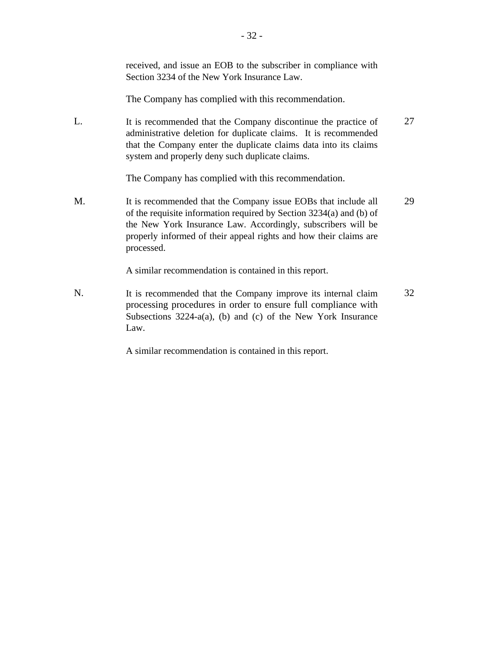|    | received, and issue an EOB to the subscriber in compliance with<br>Section 3234 of the New York Insurance Law.                                                                                                                                                                           |    |
|----|------------------------------------------------------------------------------------------------------------------------------------------------------------------------------------------------------------------------------------------------------------------------------------------|----|
|    | The Company has complied with this recommendation.                                                                                                                                                                                                                                       |    |
| L. | It is recommended that the Company discontinue the practice of<br>administrative deletion for duplicate claims. It is recommended<br>that the Company enter the duplicate claims data into its claims<br>system and properly deny such duplicate claims.                                 | 27 |
|    | The Company has complied with this recommendation.                                                                                                                                                                                                                                       |    |
| М. | It is recommended that the Company issue EOBs that include all<br>of the requisite information required by Section 3234(a) and (b) of<br>the New York Insurance Law. Accordingly, subscribers will be<br>properly informed of their appeal rights and how their claims are<br>processed. | 29 |
|    | A similar recommendation is contained in this report.                                                                                                                                                                                                                                    |    |
| N. | It is recommended that the Company improve its internal claim<br>processing procedures in order to ensure full compliance with<br>Subsections $3224-a(a)$ , (b) and (c) of the New York Insurance                                                                                        | 32 |

A similar recommendation is contained in this report.

Law.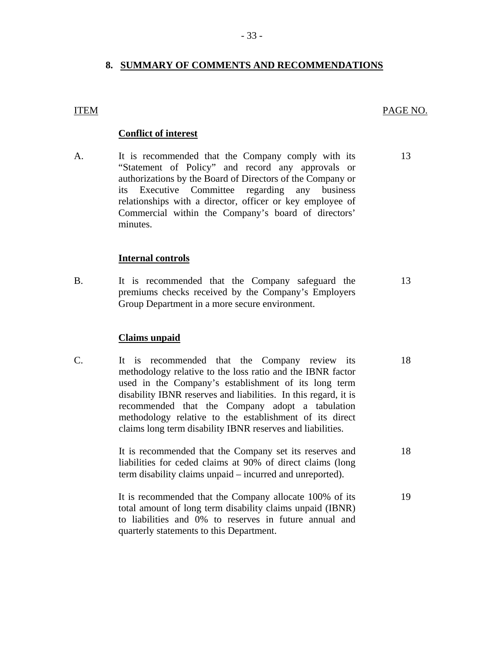## **8. SUMMARY OF COMMENTS AND RECOMMENDATIONS**

#### PAGE NO.

#### **Conflict of interest**

<u>ITEM</u><br>A. It is recommended that the Company comply with its "Statement of Policy" and record any approvals or authorizations by the Board of Directors of the Company or its Executive Committee regarding any business relationships with a director, officer or key employee of Commercial within the Company's board of directors' minutes. 13

#### **Internal controls**

B. It is recommended that the Company safeguard the premiums checks received by the Company's Employers Group Department in a more secure environment. 13

#### **Claims unpaid**

C. It is recommended that the Company review its methodology relative to the loss ratio and the IBNR factor used in the Company's establishment of its long term disability IBNR reserves and liabilities. In this regard, it is recommended that the Company adopt a tabulation methodology relative to the establishment of its direct claims long term disability IBNR reserves and liabilities. 18

> It is recommended that the Company set its reserves and liabilities for ceded claims at 90% of direct claims (long term disability claims unpaid – incurred and unreported).

It is recommended that the Company allocate 100% of its total amount of long term disability claims unpaid (IBNR) to liabilities and 0% to reserves in future annual and quarterly statements to this Department. 19

18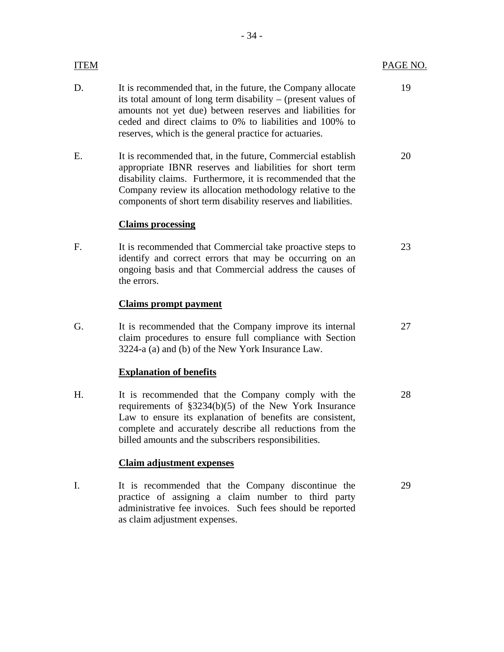| ITEM |                                                                                                                                                                                                                                                                                                                     | PAGE NO. |
|------|---------------------------------------------------------------------------------------------------------------------------------------------------------------------------------------------------------------------------------------------------------------------------------------------------------------------|----------|
| D.   | It is recommended that, in the future, the Company allocate<br>its total amount of long term disability - (present values of<br>amounts not yet due) between reserves and liabilities for<br>ceded and direct claims to 0% to liabilities and 100% to<br>reserves, which is the general practice for actuaries.     | 19       |
| Е.   | It is recommended that, in the future, Commercial establish<br>appropriate IBNR reserves and liabilities for short term<br>disability claims. Furthermore, it is recommended that the<br>Company review its allocation methodology relative to the<br>components of short term disability reserves and liabilities. | 20       |
|      | <b>Claims processing</b>                                                                                                                                                                                                                                                                                            |          |
| F.   | It is recommended that Commercial take proactive steps to<br>identify and correct errors that may be occurring on an<br>ongoing basis and that Commercial address the causes of<br>the errors.                                                                                                                      | 23       |
|      | <b>Claims prompt payment</b>                                                                                                                                                                                                                                                                                        |          |
| G.   | It is recommended that the Company improve its internal<br>claim procedures to ensure full compliance with Section<br>3224-a (a) and (b) of the New York Insurance Law.                                                                                                                                             | 27       |
|      | <b>Explanation of benefits</b>                                                                                                                                                                                                                                                                                      |          |
| H.   | It is recommended that the Company comply with the<br>requirements of $\S 3234(b)(5)$ of the New York Insurance<br>Law to ensure its explanation of benefits are consistent,<br>complete and accurately describe all reductions from the<br>billed amounts and the subscribers responsibilities.                    | 28       |
|      | <b>Claim adjustment expenses</b>                                                                                                                                                                                                                                                                                    |          |
| I.   | It is recommended that the Company discontinue the<br>practice of assigning a claim number to third party                                                                                                                                                                                                           | 29       |

administrative fee invoices. Such fees should be reported

as claim adjustment expenses.